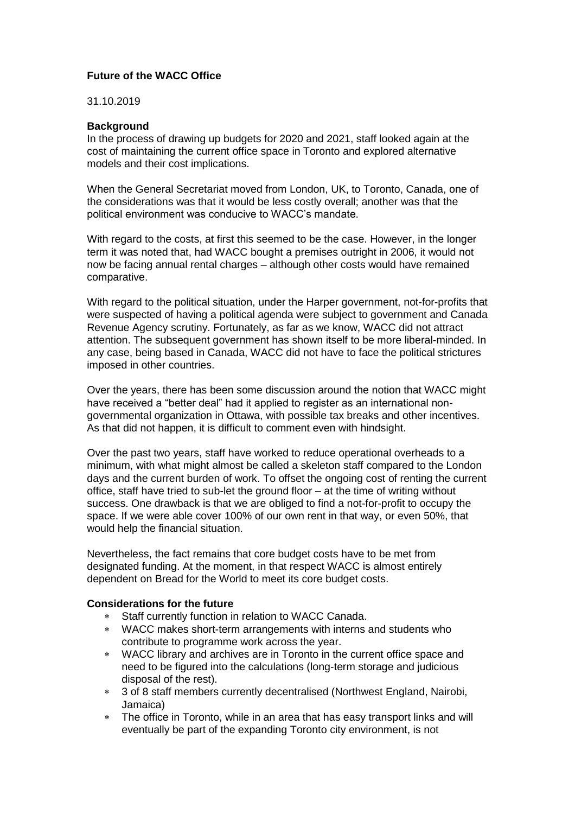## **Future of the WACC Office**

31.10.2019

## **Background**

In the process of drawing up budgets for 2020 and 2021, staff looked again at the cost of maintaining the current office space in Toronto and explored alternative models and their cost implications.

When the General Secretariat moved from London, UK, to Toronto, Canada, one of the considerations was that it would be less costly overall; another was that the political environment was conducive to WACC's mandate.

With regard to the costs, at first this seemed to be the case. However, in the longer term it was noted that, had WACC bought a premises outright in 2006, it would not now be facing annual rental charges – although other costs would have remained comparative.

With regard to the political situation, under the Harper government, not-for-profits that were suspected of having a political agenda were subject to government and Canada Revenue Agency scrutiny. Fortunately, as far as we know, WACC did not attract attention. The subsequent government has shown itself to be more liberal-minded. In any case, being based in Canada, WACC did not have to face the political strictures imposed in other countries.

Over the years, there has been some discussion around the notion that WACC might have received a "better deal" had it applied to register as an international nongovernmental organization in Ottawa, with possible tax breaks and other incentives. As that did not happen, it is difficult to comment even with hindsight.

Over the past two years, staff have worked to reduce operational overheads to a minimum, with what might almost be called a skeleton staff compared to the London days and the current burden of work. To offset the ongoing cost of renting the current office, staff have tried to sub-let the ground floor – at the time of writing without success. One drawback is that we are obliged to find a not-for-profit to occupy the space. If we were able cover 100% of our own rent in that way, or even 50%, that would help the financial situation.

Nevertheless, the fact remains that core budget costs have to be met from designated funding. At the moment, in that respect WACC is almost entirely dependent on Bread for the World to meet its core budget costs.

## **Considerations for the future**

- Staff currently function in relation to WACC Canada.
- WACC makes short-term arrangements with interns and students who contribute to programme work across the year.
- WACC library and archives are in Toronto in the current office space and need to be figured into the calculations (long-term storage and judicious disposal of the rest).
- 3 of 8 staff members currently decentralised (Northwest England, Nairobi, Jamaica)
- The office in Toronto, while in an area that has easy transport links and will eventually be part of the expanding Toronto city environment, is not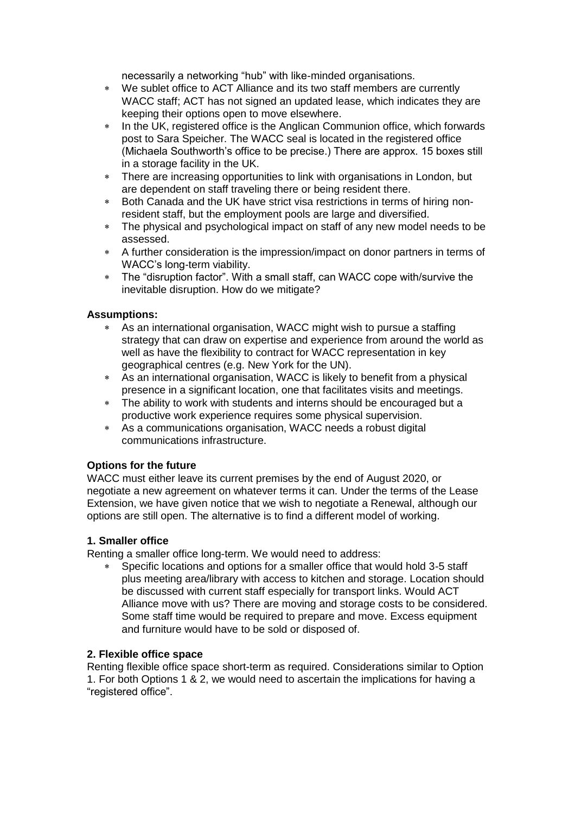necessarily a networking "hub" with like-minded organisations.

- We sublet office to ACT Alliance and its two staff members are currently WACC staff; ACT has not signed an updated lease, which indicates they are keeping their options open to move elsewhere.
- \* In the UK, registered office is the Anglican Communion office, which forwards post to Sara Speicher. The WACC seal is located in the registered office (Michaela Southworth's office to be precise.) There are approx. 15 boxes still in a storage facility in the UK.
- There are increasing opportunities to link with organisations in London, but are dependent on staff traveling there or being resident there.
- Both Canada and the UK have strict visa restrictions in terms of hiring nonresident staff, but the employment pools are large and diversified.
- The physical and psychological impact on staff of any new model needs to be assessed.
- A further consideration is the impression/impact on donor partners in terms of WACC's long-term viability.
- The "disruption factor". With a small staff, can WACC cope with/survive the inevitable disruption. How do we mitigate?

## **Assumptions:**

- As an international organisation, WACC might wish to pursue a staffing strategy that can draw on expertise and experience from around the world as well as have the flexibility to contract for WACC representation in key geographical centres (e.g. New York for the UN).
- As an international organisation, WACC is likely to benefit from a physical presence in a significant location, one that facilitates visits and meetings.
- The ability to work with students and interns should be encouraged but a productive work experience requires some physical supervision.
- As a communications organisation, WACC needs a robust digital communications infrastructure.

## **Options for the future**

WACC must either leave its current premises by the end of August 2020, or negotiate a new agreement on whatever terms it can. Under the terms of the Lease Extension, we have given notice that we wish to negotiate a Renewal, although our options are still open. The alternative is to find a different model of working.

## **1. Smaller office**

Renting a smaller office long-term. We would need to address:

 Specific locations and options for a smaller office that would hold 3-5 staff plus meeting area/library with access to kitchen and storage. Location should be discussed with current staff especially for transport links. Would ACT Alliance move with us? There are moving and storage costs to be considered. Some staff time would be required to prepare and move. Excess equipment and furniture would have to be sold or disposed of.

## **2. Flexible office space**

Renting flexible office space short-term as required. Considerations similar to Option 1. For both Options 1 & 2, we would need to ascertain the implications for having a "registered office".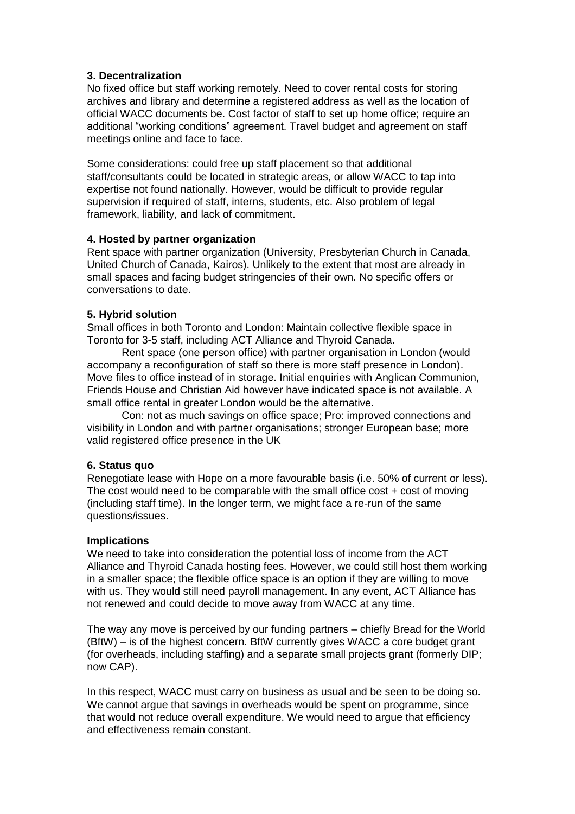## **3. Decentralization**

No fixed office but staff working remotely. Need to cover rental costs for storing archives and library and determine a registered address as well as the location of official WACC documents be. Cost factor of staff to set up home office; require an additional "working conditions" agreement. Travel budget and agreement on staff meetings online and face to face.

Some considerations: could free up staff placement so that additional staff/consultants could be located in strategic areas, or allow WACC to tap into expertise not found nationally. However, would be difficult to provide regular supervision if required of staff, interns, students, etc. Also problem of legal framework, liability, and lack of commitment.

## **4. Hosted by partner organization**

Rent space with partner organization (University, Presbyterian Church in Canada, United Church of Canada, Kairos). Unlikely to the extent that most are already in small spaces and facing budget stringencies of their own. No specific offers or conversations to date.

# **5. Hybrid solution**

Small offices in both Toronto and London: Maintain collective flexible space in Toronto for 3-5 staff, including ACT Alliance and Thyroid Canada.

Rent space (one person office) with partner organisation in London (would accompany a reconfiguration of staff so there is more staff presence in London). Move files to office instead of in storage. Initial enquiries with Anglican Communion, Friends House and Christian Aid however have indicated space is not available. A small office rental in greater London would be the alternative.

Con: not as much savings on office space; Pro: improved connections and visibility in London and with partner organisations; stronger European base; more valid registered office presence in the UK

## **6. Status quo**

Renegotiate lease with Hope on a more favourable basis (i.e. 50% of current or less). The cost would need to be comparable with the small office cost  $+$  cost of moving (including staff time). In the longer term, we might face a re-run of the same questions/issues.

## **Implications**

We need to take into consideration the potential loss of income from the ACT Alliance and Thyroid Canada hosting fees. However, we could still host them working in a smaller space; the flexible office space is an option if they are willing to move with us. They would still need payroll management. In any event, ACT Alliance has not renewed and could decide to move away from WACC at any time.

The way any move is perceived by our funding partners – chiefly Bread for the World (BftW) – is of the highest concern. BftW currently gives WACC a core budget grant (for overheads, including staffing) and a separate small projects grant (formerly DIP; now CAP).

In this respect, WACC must carry on business as usual and be seen to be doing so. We cannot argue that savings in overheads would be spent on programme, since that would not reduce overall expenditure. We would need to argue that efficiency and effectiveness remain constant.